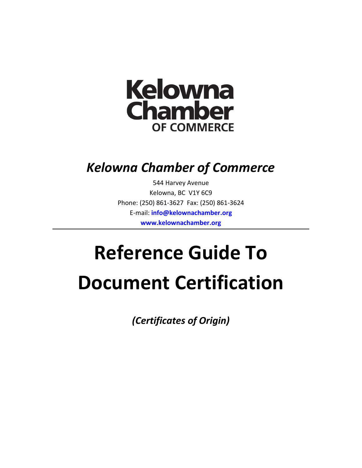

## *Kelowna Chamber of Commerce*

544 Harvey Avenue Kelowna, BC V1Y 6C9 Phone: (250) 861-3627 Fax: (250) 861-3624 E-mail: **[info@kelownachamber.org](mailto:info@kelownachamber.org) [www.kelownachamber.org](http://www.kelownachamber.org/)**

# **Reference Guide To Document Certification**

*(Certificates of Origin)*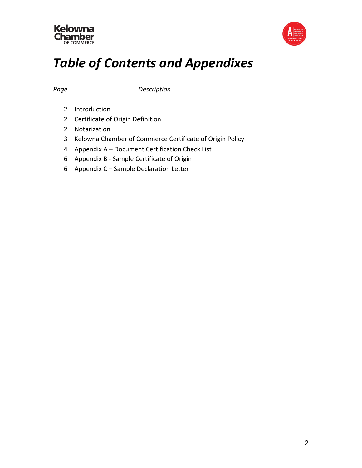



## *Table of Contents and Appendixes*

*Page Description*

- Introduction
- Certificate of Origin Definition
- Notarization
- Kelowna Chamber of Commerce Certificate of Origin Policy
- Appendix A Document Certification Check List
- Appendix B Sample Certificate of Origin
- Appendix C Sample Declaration Letter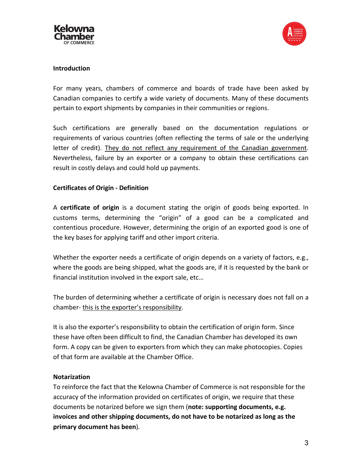



#### **Introduction**

For many years, chambers of commerce and boards of trade have been asked by Canadian companies to certify a wide variety of documents. Many of these documents pertain to export shipments by companies in their communities or regions.

Such certifications are generally based on the documentation regulations or requirements of various countries (often reflecting the terms of sale or the underlying letter of credit). They do not reflect any requirement of the Canadian government. Nevertheless, failure by an exporter or a company to obtain these certifications can result in costly delays and could hold up payments.

#### **Certificates of Origin - Definition**

A **certificate of origin** is a document stating the origin of goods being exported. In customs terms, determining the "origin" of a good can be a complicated and contentious procedure. However, determining the origin of an exported good is one of the key bases for applying tariff and other import criteria.

Whether the exporter needs a certificate of origin depends on a variety of factors, e.g., where the goods are being shipped, what the goods are, if it is requested by the bank or financial institution involved in the export sale, etc…

The burden of determining whether a certificate of origin is necessary does not fall on a chamber- this is the exporter's responsibility.

It is also the exporter's responsibility to obtain the certification of origin form. Since these have often been difficult to find, the Canadian Chamber has developed its own form. A copy can be given to exporters from which they can make photocopies. Copies of that form are available at the Chamber Office.

#### **Notarization**

To reinforce the fact that the Kelowna Chamber of Commerce is not responsible for the accuracy of the information provided on certificates of origin, we require that these documents be notarized before we sign them (**note: supporting documents, e.g. invoices and other shipping documents, do not have to be notarized as long as the primary document has been**)*.*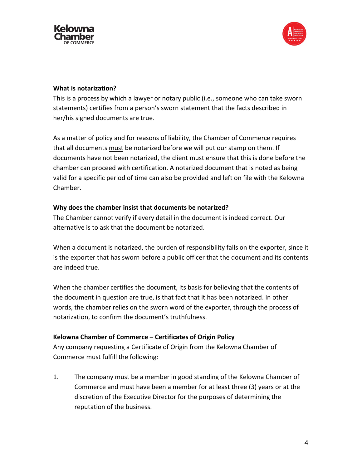



#### **What is notarization?**

This is a process by which a lawyer or notary public (i.e., someone who can take sworn statements) certifies from a person's sworn statement that the facts described in her/his signed documents are true.

As a matter of policy and for reasons of liability, the Chamber of Commerce requires that all documents must be notarized before we will put our stamp on them. If documents have not been notarized, the client must ensure that this is done before the chamber can proceed with certification. A notarized document that is noted as being valid for a specific period of time can also be provided and left on file with the Kelowna Chamber.

#### **Why does the chamber insist that documents be notarized?**

The Chamber cannot verify if every detail in the document is indeed correct. Our alternative is to ask that the document be notarized.

When a document is notarized, the burden of responsibility falls on the exporter, since it is the exporter that has sworn before a public officer that the document and its contents are indeed true.

When the chamber certifies the document, its basis for believing that the contents of the document in question are true, is that fact that it has been notarized. In other words, the chamber relies on the sworn word of the exporter, through the process of notarization, to confirm the document's truthfulness.

#### **Kelowna Chamber of Commerce – Certificates of Origin Policy**

Any company requesting a Certificate of Origin from the Kelowna Chamber of Commerce must fulfill the following:

1. The company must be a member in good standing of the Kelowna Chamber of Commerce and must have been a member for at least three (3) years or at the discretion of the Executive Director for the purposes of determining the reputation of the business.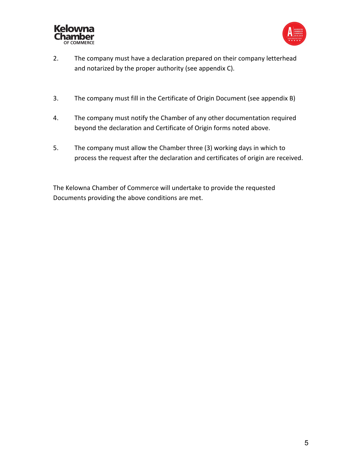



- 2. The company must have a declaration prepared on their company letterhead and notarized by the proper authority (see appendix C).
- 3. The company must fill in the Certificate of Origin Document (see appendix B)
- 4. The company must notify the Chamber of any other documentation required beyond the declaration and Certificate of Origin forms noted above.
- 5. The company must allow the Chamber three (3) working days in which to process the request after the declaration and certificates of origin are received.

The Kelowna Chamber of Commerce will undertake to provide the requested Documents providing the above conditions are met.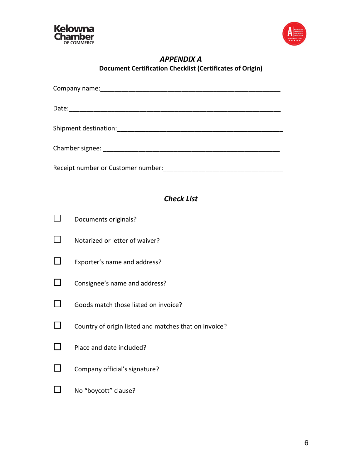



#### *APPENDIX A* **Document Certification Checklist (Certificates of Origin)**

| <b>Check List</b> |                                                       |  |
|-------------------|-------------------------------------------------------|--|
|                   |                                                       |  |
|                   | Documents originals?                                  |  |
|                   | Notarized or letter of waiver?                        |  |
|                   | Exporter's name and address?                          |  |
|                   | Consignee's name and address?                         |  |
|                   | Goods match those listed on invoice?                  |  |
|                   | Country of origin listed and matches that on invoice? |  |
|                   | Place and date included?                              |  |
|                   | Company official's signature?                         |  |
|                   | No "boycott" clause?                                  |  |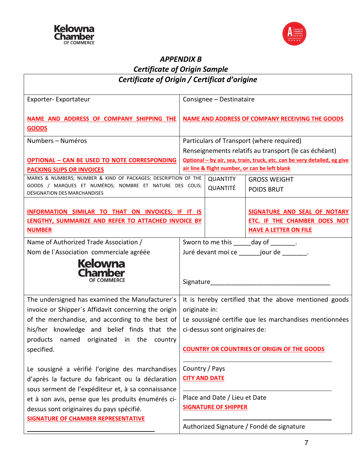



### *APPENDIX B Certificate of Origin Sample*

| Certificate of Origin / Certificat d'origine                                                                                                                                                                                                                                                                 |                                                                                                                                                                                                                          |  |  |
|--------------------------------------------------------------------------------------------------------------------------------------------------------------------------------------------------------------------------------------------------------------------------------------------------------------|--------------------------------------------------------------------------------------------------------------------------------------------------------------------------------------------------------------------------|--|--|
| Exporter-Exportateur                                                                                                                                                                                                                                                                                         | Consignee - Destinataire                                                                                                                                                                                                 |  |  |
| NAME AND ADDRESS OF COMPANY SHIPPING THE<br><b>GOODS</b>                                                                                                                                                                                                                                                     | <b>NAME AND ADDRESS OF COMPANY RECEIVING THE GOODS</b>                                                                                                                                                                   |  |  |
| Numbers - Numéros                                                                                                                                                                                                                                                                                            | Particulars of Transport (where required)<br>Renseignements relatifs au transport (le cas échéant)                                                                                                                       |  |  |
| <b>OPTIONAL - CAN BE USED TO NOTE CORRESPONDING</b><br><b>PACKING SLIPS OR INVOICES</b>                                                                                                                                                                                                                      | Optional - by air, sea, train, truck, etc. can be very detailed, eg give<br>air line & flight number, or can be left blank                                                                                               |  |  |
| MARKS & NUMBERS; NUMBER & KIND OF PACKAGES; DESCRIPTION OF THE<br>GOODS / MARQUES ET NUMÉROS; NOMBRE ET NATURE DES COLIS;<br>DÉSIGNATION DES MARCHANDISES                                                                                                                                                    | <b>QUANTITY</b><br><b>GROSS WEIGHT</b><br><b>QUANTITÉ</b><br><b>POIDS BRUT</b>                                                                                                                                           |  |  |
| INFORMATION SIMILAR TO THAT ON INVOICES; IF IT IS<br>LENGTHY, SUMMARIZE AND REFER TO ATTACHED INVOICE BY<br><b>NUMBER</b>                                                                                                                                                                                    | SIGNATURE AND SEAL OF NOTARY<br>ETC. IF THE CHAMBER DOES NOT<br><b>HAVE A LETTER ON FILE</b>                                                                                                                             |  |  |
| Name of Authorized Trade Association /<br>Nom de l'Association commerciale agréée<br><b>Kelowna</b><br><b>Chamber</b><br><b>OF COMMERCE</b>                                                                                                                                                                  | Sworn to me this ______ day of ________.<br>Juré devant moi ce _______ jour de _______.<br>Signature Management Communications                                                                                           |  |  |
| The undersigned has examined the Manufacturer's<br>invoice or Shipper's Affidavit concerning the origin<br>of the merchandise, and according to the best of<br>his/her knowledge and belief finds that the<br>products named originated in the country<br>specified.                                         | It is hereby certified that the above mentioned goods<br>originate in:<br>Le soussigné certifie que les marchandises mentionnées<br>ci-dessus sont originaires de:<br><b>COUNTRY OR COUNTRIES OF ORIGIN OF THE GOODS</b> |  |  |
| Le sousigné a vérifié l'origine des marchandises<br>d'après la facture du fabricant ou la déclaration<br>sous serment de l'expéditeur et, à sa connaissance<br>et à son avis, pense que les produits énumérés ci-<br>dessus sont originaires du pays spécifié.<br><b>SIGNATURE OF CHAMBER REPRESENTATIVE</b> | Country / Pays<br><b>CITY AND DATE</b><br>Place and Date / Lieu et Date<br><b>SIGNATURE OF SHIPPER</b><br>Authorized Signature / Fondé de signature                                                                      |  |  |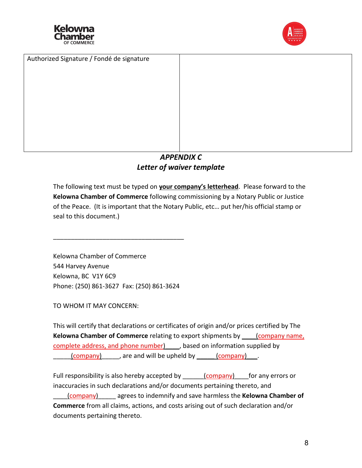





#### *APPENDIX C Letter of waiver template*

The following text must be typed on **your company's letterhead**. Please forward to the **Kelowna Chamber of Commerce** following commissioning by a Notary Public or Justice of the Peace. (It is important that the Notary Public, etc… put her/his official stamp or seal to this document.)

Kelowna Chamber of Commerce 544 Harvey Avenue Kelowna, BC V1Y 6C9 Phone: (250) 861-3627 Fax: (250) 861-3624

\_\_\_\_\_\_\_\_\_\_\_\_\_\_\_\_\_\_\_\_\_\_\_\_\_\_\_\_\_\_\_\_\_\_\_\_\_

TO WHOM IT MAY CONCERN:

This will certify that declarations or certificates of origin and/or prices certified by The **Kelowna Chamber of Commerce** relating to export shipments by \_\_\_\_(company name, complete address, and phone number) \_\_\_, based on information supplied by (company) are and will be upheld by \_\_\_\_\_ (company) \_\_\_.

Full responsibility is also hereby accepted by \_\_\_\_\_\_\_(company) for any errors or inaccuracies in such declarations and/or documents pertaining thereto, and \_\_\_\_(company)\_\_\_\_\_ agrees to indemnify and save harmless the **Kelowna Chamber of Commerce** from all claims, actions, and costs arising out of such declaration and/or documents pertaining thereto.